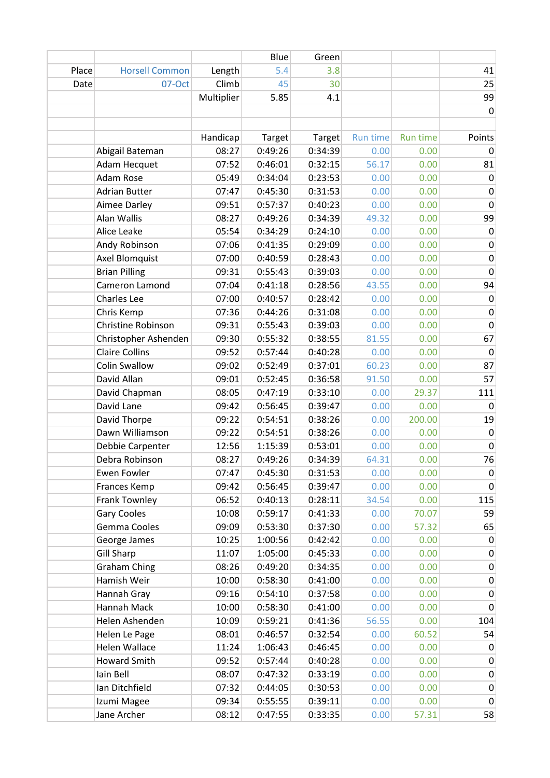|       |                       |            | Blue    | Green   |          |                 |             |
|-------|-----------------------|------------|---------|---------|----------|-----------------|-------------|
| Place | <b>Horsell Common</b> | Length     | 5.4     | 3.8     |          |                 | 41          |
| Date  | 07-Oct                | Climb      | 45      | 30      |          |                 | 25          |
|       |                       | Multiplier | 5.85    | 4.1     |          |                 | 99          |
|       |                       |            |         |         |          |                 | 0           |
|       |                       |            |         |         |          |                 |             |
|       |                       | Handicap   | Target  | Target  | Run time | <b>Run time</b> | Points      |
|       | Abigail Bateman       | 08:27      | 0:49:26 | 0:34:39 | 0.00     | 0.00            | 0           |
|       | Adam Hecquet          | 07:52      | 0:46:01 | 0:32:15 | 56.17    | 0.00            | 81          |
|       | Adam Rose             | 05:49      | 0:34:04 | 0:23:53 | 0.00     | 0.00            | $\mathbf 0$ |
|       | <b>Adrian Butter</b>  | 07:47      | 0:45:30 | 0:31:53 | 0.00     | 0.00            | $\mathbf 0$ |
|       | Aimee Darley          | 09:51      | 0:57:37 | 0:40:23 | 0.00     | 0.00            | $\mathbf 0$ |
|       | Alan Wallis           | 08:27      | 0:49:26 | 0:34:39 | 49.32    | 0.00            | 99          |
|       | Alice Leake           | 05:54      | 0:34:29 | 0:24:10 | 0.00     | 0.00            | $\pmb{0}$   |
|       | Andy Robinson         | 07:06      | 0:41:35 | 0:29:09 | 0.00     | 0.00            | 0           |
|       | Axel Blomquist        | 07:00      | 0:40:59 | 0:28:43 | 0.00     | 0.00            | $\pmb{0}$   |
|       | <b>Brian Pilling</b>  | 09:31      | 0:55:43 | 0:39:03 | 0.00     | 0.00            | $\pmb{0}$   |
|       | Cameron Lamond        | 07:04      | 0:41:18 | 0:28:56 | 43.55    | 0.00            | 94          |
|       | Charles Lee           | 07:00      | 0:40:57 | 0:28:42 | 0.00     | 0.00            | $\mathbf 0$ |
|       | Chris Kemp            | 07:36      | 0:44:26 | 0:31:08 | 0.00     | 0.00            | $\mathbf 0$ |
|       | Christine Robinson    | 09:31      | 0:55:43 | 0:39:03 | 0.00     | 0.00            | $\mathbf 0$ |
|       | Christopher Ashenden  | 09:30      | 0:55:32 | 0:38:55 | 81.55    | 0.00            | 67          |
|       | <b>Claire Collins</b> | 09:52      | 0:57:44 | 0:40:28 | 0.00     | 0.00            | $\mathbf 0$ |
|       | <b>Colin Swallow</b>  | 09:02      | 0:52:49 | 0:37:01 | 60.23    | 0.00            | 87          |
|       | David Allan           | 09:01      | 0:52:45 | 0:36:58 | 91.50    | 0.00            | 57          |
|       | David Chapman         | 08:05      | 0:47:19 | 0:33:10 | 0.00     | 29.37           | 111         |
|       | David Lane            | 09:42      | 0:56:45 | 0:39:47 | 0.00     | 0.00            | $\mathbf 0$ |
|       | David Thorpe          | 09:22      | 0:54:51 | 0:38:26 | 0.00     | 200.00          | 19          |
|       | Dawn Williamson       | 09:22      | 0:54:51 | 0:38:26 | 0.00     | 0.00            | $\mathbf 0$ |
|       | Debbie Carpenter      | 12:56      | 1:15:39 | 0:53:01 | 0.00     | 0.00            | $\mathbf 0$ |
|       | Debra Robinson        | 08:27      | 0:49:26 | 0:34:39 | 64.31    | 0.00            | 76          |
|       | <b>Ewen Fowler</b>    | 07:47      | 0:45:30 | 0:31:53 | 0.00     | 0.00            | 0           |
|       | Frances Kemp          | 09:42      | 0:56:45 | 0:39:47 | 0.00     | 0.00            | $\mathbf 0$ |
|       |                       |            |         |         |          |                 |             |
|       | Frank Townley         | 06:52      | 0:40:13 | 0:28:11 | 34.54    | 0.00            | 115         |
|       | <b>Gary Cooles</b>    | 10:08      | 0:59:17 | 0:41:33 | 0.00     | 70.07           | 59          |
|       | Gemma Cooles          | 09:09      | 0:53:30 | 0:37:30 | 0.00     | 57.32           | 65          |
|       | George James          | 10:25      | 1:00:56 | 0:42:42 | 0.00     | 0.00            | 0           |
|       | <b>Gill Sharp</b>     | 11:07      | 1:05:00 | 0:45:33 | 0.00     | 0.00            | $\pmb{0}$   |
|       | <b>Graham Ching</b>   | 08:26      | 0:49:20 | 0:34:35 | 0.00     | 0.00            | $\pmb{0}$   |
|       | Hamish Weir           | 10:00      | 0:58:30 | 0:41:00 | 0.00     | 0.00            | $\pmb{0}$   |
|       | Hannah Gray           | 09:16      | 0:54:10 | 0:37:58 | 0.00     | 0.00            | 0           |
|       | Hannah Mack           | 10:00      | 0:58:30 | 0:41:00 | 0.00     | 0.00            | 0           |
|       | Helen Ashenden        | 10:09      | 0:59:21 | 0:41:36 | 56.55    | 0.00            | 104         |
|       | Helen Le Page         | 08:01      | 0:46:57 | 0:32:54 | 0.00     | 60.52           | 54          |
|       | Helen Wallace         | 11:24      | 1:06:43 | 0:46:45 | 0.00     | 0.00            | $\mathbf 0$ |
|       | <b>Howard Smith</b>   | 09:52      | 0:57:44 | 0:40:28 | 0.00     | 0.00            | $\mathbf 0$ |
|       | Iain Bell             | 08:07      | 0:47:32 | 0:33:19 | 0.00     | 0.00            | $\pmb{0}$   |
|       | Ian Ditchfield        | 07:32      | 0:44:05 | 0:30:53 | 0.00     | 0.00            | $\pmb{0}$   |
|       | Izumi Magee           | 09:34      | 0:55:55 | 0:39:11 | 0.00     | 0.00            | $\mathbf 0$ |
|       | Jane Archer           | 08:12      | 0:47:55 | 0:33:35 | 0.00     | 57.31           | 58          |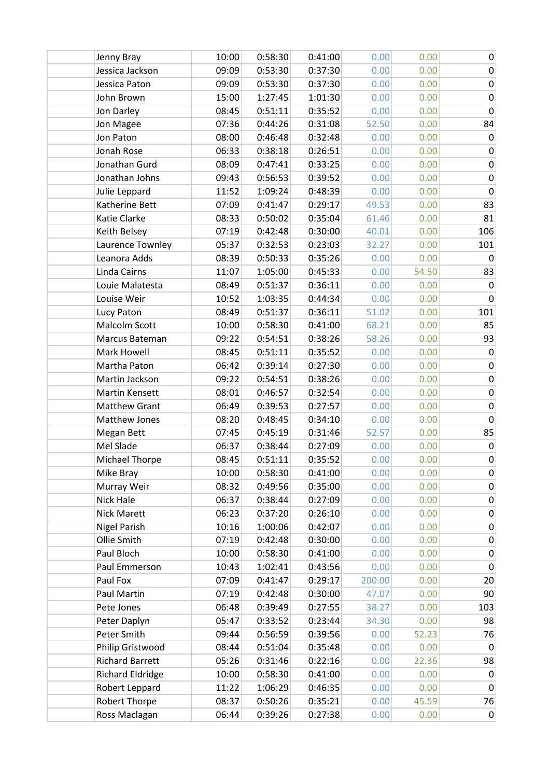| Jenny Bray              | 10:00 | 0:58:30 | 0:41:00 | 0.00   | 0.00  | $\pmb{0}$      |
|-------------------------|-------|---------|---------|--------|-------|----------------|
| Jessica Jackson         | 09:09 | 0:53:30 | 0:37:30 | 0.00   | 0.00  | $\mathbf 0$    |
| Jessica Paton           | 09:09 | 0:53:30 | 0:37:30 | 0.00   | 0.00  | 0              |
| John Brown              | 15:00 | 1:27:45 | 1:01:30 | 0.00   | 0.00  | 0              |
| Jon Darley              | 08:45 | 0:51:11 | 0:35:52 | 0.00   | 0.00  | $\pmb{0}$      |
| Jon Magee               | 07:36 | 0:44:26 | 0:31:08 | 52.50  | 0.00  | 84             |
| Jon Paton               | 08:00 | 0:46:48 | 0:32:48 | 0.00   | 0.00  | $\mathbf 0$    |
| Jonah Rose              | 06:33 | 0:38:18 | 0:26:51 | 0.00   | 0.00  | $\pmb{0}$      |
| Jonathan Gurd           | 08:09 | 0:47:41 | 0:33:25 | 0.00   | 0.00  | 0              |
| Jonathan Johns          | 09:43 | 0:56:53 | 0:39:52 | 0.00   | 0.00  | 0              |
| Julie Leppard           | 11:52 | 1:09:24 | 0:48:39 | 0.00   | 0.00  | $\pmb{0}$      |
| Katherine Bett          | 07:09 | 0:41:47 | 0:29:17 | 49.53  | 0.00  | 83             |
| Katie Clarke            | 08:33 | 0:50:02 | 0:35:04 | 61.46  | 0.00  | 81             |
| Keith Belsey            | 07:19 | 0:42:48 | 0:30:00 | 40.01  | 0.00  | 106            |
| Laurence Townley        | 05:37 | 0:32:53 | 0:23:03 | 32.27  | 0.00  | 101            |
| Leanora Adds            | 08:39 | 0:50:33 | 0:35:26 | 0.00   | 0.00  | 0              |
| Linda Cairns            | 11:07 | 1:05:00 | 0:45:33 | 0.00   | 54.50 | 83             |
| Louie Malatesta         | 08:49 | 0:51:37 | 0:36:11 | 0.00   | 0.00  | $\pmb{0}$      |
| Louise Weir             | 10:52 | 1:03:35 | 0:44:34 | 0.00   | 0.00  | $\mathbf 0$    |
| Lucy Paton              | 08:49 | 0:51:37 | 0:36:11 | 51.02  | 0.00  | 101            |
| Malcolm Scott           | 10:00 | 0:58:30 | 0:41:00 | 68.21  | 0.00  | 85             |
| Marcus Bateman          | 09:22 | 0:54:51 | 0:38:26 | 58.26  | 0.00  | 93             |
| Mark Howell             | 08:45 | 0:51:11 | 0:35:52 | 0.00   | 0.00  | $\pmb{0}$      |
| Martha Paton            | 06:42 | 0:39:14 | 0:27:30 | 0.00   | 0.00  | $\pmb{0}$      |
| Martin Jackson          | 09:22 | 0:54:51 | 0:38:26 | 0.00   | 0.00  | $\pmb{0}$      |
| Martin Kensett          | 08:01 | 0:46:57 | 0:32:54 | 0.00   | 0.00  | $\pmb{0}$      |
| <b>Matthew Grant</b>    | 06:49 | 0:39:53 | 0:27:57 | 0.00   | 0.00  | $\mathbf 0$    |
| Matthew Jones           | 08:20 | 0:48:45 | 0:34:10 | 0.00   | 0.00  | $\mathbf 0$    |
| Megan Bett              | 07:45 | 0:45:19 | 0:31:46 | 52.57  | 0.00  | 85             |
| Mel Slade               | 06:37 | 0:38:44 | 0:27:09 | 0.00   | 0.00  | $\pmb{0}$      |
| <b>Michael Thorpe</b>   | 08:45 | 0:51:11 | 0:35:52 | 0.00   | 0.00  | $\pmb{0}$      |
| Mike Bray               | 10:00 | 0:58:30 | 0:41:00 | 0.00   | 0.00  | 0              |
| Murray Weir             | 08:32 | 0:49:56 | 0:35:00 | 0.00   | 0.00  | $\pmb{0}$      |
| Nick Hale               | 06:37 | 0:38:44 | 0:27:09 | 0.00   | 0.00  | $\pmb{0}$      |
| <b>Nick Marett</b>      | 06:23 | 0:37:20 | 0:26:10 | 0.00   | 0.00  | 0              |
| <b>Nigel Parish</b>     | 10:16 | 1:00:06 | 0:42:07 | 0.00   | 0.00  | 0              |
| Ollie Smith             | 07:19 | 0:42:48 | 0:30:00 | 0.00   | 0.00  | $\pmb{0}$      |
| Paul Bloch              | 10:00 | 0:58:30 | 0:41:00 | 0.00   | 0.00  | $\pmb{0}$      |
| Paul Emmerson           | 10:43 | 1:02:41 | 0:43:56 | 0.00   | 0.00  | $\mathbf 0$    |
| Paul Fox                | 07:09 | 0:41:47 | 0:29:17 | 200.00 | 0.00  | 20             |
| Paul Martin             | 07:19 | 0:42:48 | 0:30:00 | 47.07  | 0.00  | 90             |
| Pete Jones              | 06:48 | 0:39:49 | 0:27:55 | 38.27  | 0.00  | 103            |
| Peter Daplyn            | 05:47 | 0:33:52 | 0:23:44 | 34.30  | 0.00  | 98             |
| Peter Smith             | 09:44 | 0:56:59 | 0:39:56 | 0.00   | 52.23 | 76             |
| Philip Gristwood        | 08:44 | 0:51:04 | 0:35:48 | 0.00   | 0.00  | $\mathbf 0$    |
| <b>Richard Barrett</b>  | 05:26 | 0:31:46 | 0:22:16 | 0.00   | 22.36 | 98             |
| <b>Richard Eldridge</b> | 10:00 | 0:58:30 | 0:41:00 | 0.00   | 0.00  | $\mathbf 0$    |
| Robert Leppard          | 11:22 | 1:06:29 | 0:46:35 | 0.00   | 0.00  | $\mathbf 0$    |
| Robert Thorpe           | 08:37 | 0:50:26 | 0:35:21 | 0.00   | 45.59 | 76             |
| Ross Maclagan           | 06:44 | 0:39:26 | 0:27:38 | 0.00   | 0.00  | $\overline{0}$ |